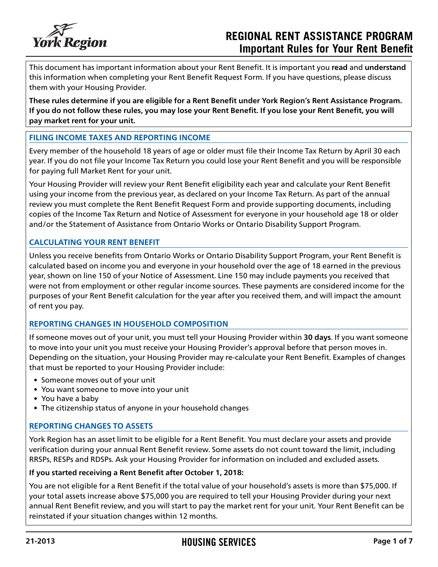

# **REGIONAL RENT ASSISTANCE PROGRAM Important Rules for Your Rent Benefit**

This document has important information about your Rent Benefit. It is important you **read** and **understand** this information when completing your Rent Benefit Request Form. If you have questions, please discuss them with your Housing Provider.

**These rules determine if you are eligible for a Rent Benefit under York Region's Rent Assistance Program. If you do not follow these rules, you may lose your Rent Benefit. If you lose your Rent Benefit, you will pay market rent for your unit.**

## **FILING INCOME TAXES AND REPORTING INCOME**

Every member of the household 18 years of age or older must file their Income Tax Return by April 30 each year. If you do not file your Income Tax Return you could lose your Rent Benefit and you will be responsible for paying full Market Rent for your unit.

Your Housing Provider will review your Rent Benefit eligibility each year and calculate your Rent Benefit using your income from the previous year, as declared on your Income Tax Return. As part of the annual review you must complete the Rent Benefit Request Form and provide supporting documents, including copies of the Income Tax Return and Notice of Assessment for everyone in your household age 18 or older and/or the Statement of Assistance from Ontario Works or Ontario Disability Support Program.

## **CALCULATING YOUR RENT BENEFIT**

Unless you receive benefits from Ontario Works or Ontario Disability Support Program, your Rent Benefit is calculated based on income you and everyone in your household over the age of 18 earned in the previous year, shown on line 150 of your Notice of Assessment. Line 150 may include payments you received that were not from employment or other regular income sources. These payments are considered income for the purposes of your Rent Benefit calculation for the year after you received them, and will impact the amount of rent you pay.

### **REPORTING CHANGES IN HOUSEHOLD COMPOSITION**

If someone moves out of your unit, you must tell your Housing Provider within **30 days**. If you want someone to move into your unit you must receive your Housing Provider's approval before that person moves in. Depending on the situation, your Housing Provider may re-calculate your Rent Benefit. Examples of changes that must be reported to your Housing Provider include:

- Someone moves out of your unit
- You want someone to move into your unit
- You have a baby
- The citizenship status of anyone in your household changes

### **REPORTING CHANGES TO ASSETS**

York Region has an asset limit to be eligible for a Rent Benefit. You must declare your assets and provide verification during your annual Rent Benefit review. Some assets do not count toward the limit, including RRSPs, RESPs and RDSPs. Ask your Housing Provider for information on included and excluded assets.

### **If you started receiving a Rent Benefit after October 1, 2018:**

You are not eligible for a Rent Benefit if the total value of your household's assets is more than \$75,000. If your total assets increase above \$75,000 you are required to tell your Housing Provider during your next annual Rent Benefit review, and you will start to pay the market rent for your unit. Your Rent Benefit can be reinstated if your situation changes within 12 months.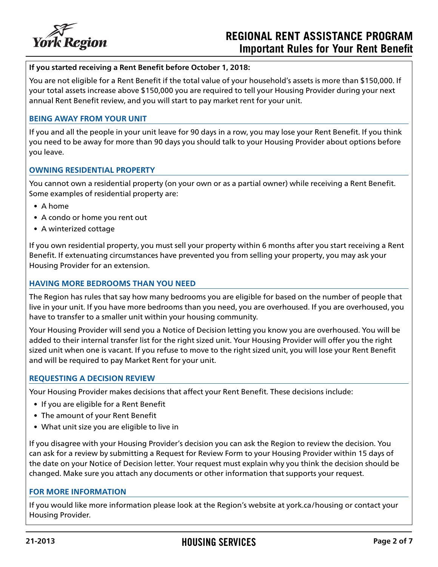

# **REGIONAL RENT ASSISTANCE PROGRAM Important Rules for Your Rent Benefit**

### **If you started receiving a Rent Benefit before October 1, 2018:**

You are not eligible for a Rent Benefit if the total value of your household's assets is more than \$150,000. If your total assets increase above \$150,000 you are required to tell your Housing Provider during your next annual Rent Benefit review, and you will start to pay market rent for your unit.

#### **BEING AWAY FROM YOUR UNIT**

If you and all the people in your unit leave for 90 days in a row, you may lose your Rent Benefit. If you think you need to be away for more than 90 days you should talk to your Housing Provider about options before you leave.

#### **OWNING RESIDENTIAL PROPERTY**

You cannot own a residential property (on your own or as a partial owner) while receiving a Rent Benefit. Some examples of residential property are:

- A home
- A condo or home you rent out
- A winterized cottage

If you own residential property, you must sell your property within 6 months after you start receiving a Rent Benefit. If extenuating circumstances have prevented you from selling your property, you may ask your Housing Provider for an extension.

### **HAVING MORE BEDROOMS THAN YOU NEED**

The Region has rules that say how many bedrooms you are eligible for based on the number of people that live in your unit. If you have more bedrooms than you need, you are overhoused. If you are overhoused, you have to transfer to a smaller unit within your housing community.

Your Housing Provider will send you a Notice of Decision letting you know you are overhoused. You will be added to their internal transfer list for the right sized unit. Your Housing Provider will offer you the right sized unit when one is vacant. If you refuse to move to the right sized unit, you will lose your Rent Benefit and will be required to pay Market Rent for your unit.

#### **REQUESTING A DECISION REVIEW**

Your Housing Provider makes decisions that affect your Rent Benefit. These decisions include:

- If you are eligible for a Rent Benefit
- The amount of your Rent Benefit
- What unit size you are eligible to live in

If you disagree with your Housing Provider's decision you can ask the Region to review the decision. You can ask for a review by submitting a Request for Review Form to your Housing Provider within 15 days of the date on your Notice of Decision letter. Your request must explain why you think the decision should be changed. Make sure you attach any documents or other information that supports your request.

#### **FOR MORE INFORMATION**

If you would like more information please look at the Region's website at york.ca/housing or contact your Housing Provider.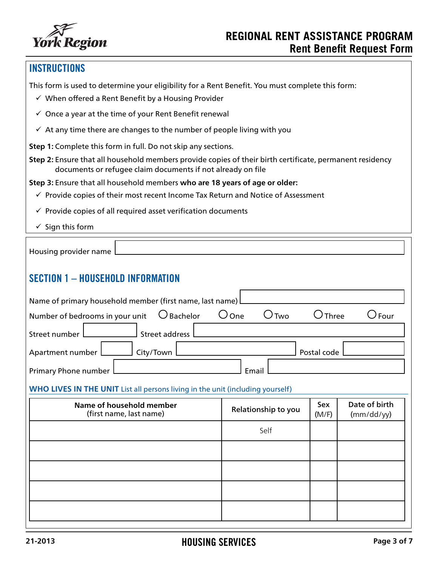

# **INSTRUCTIONS**

This form is used to determine your eligibility for a Rent Benefit. You must complete this form:

- $\checkmark$  When offered a Rent Benefit by a Housing Provider
- $\checkmark$  Once a year at the time of your Rent Benefit renewal
- $\checkmark$  At any time there are changes to the number of people living with you
- **Step 1:** Complete this form in full. Do not skip any sections.
- **Step 2:** Ensure that all household members provide copies of their birth certificate, permanent residency documents or refugee claim documents if not already on file
- **Step 3:** Ensure that all household members **who are 18 years of age or older:**
	- $\checkmark$  Provide copies of their most recent Income Tax Return and Notice of Assessment
	- $\checkmark$  Provide copies of all required asset verification documents
	- $\checkmark$  Sign this form

| Housing provider name                                                                         |  |  |  |
|-----------------------------------------------------------------------------------------------|--|--|--|
| <b>SECTION 1 - HOUSEHOLD INFORMATION</b>                                                      |  |  |  |
| Name of primary household member (first name, last name)                                      |  |  |  |
| Number of bedrooms in your unit $\bigcirc$ Bachelor<br>$\bigcirc$ One<br>Two<br>Four<br>Three |  |  |  |
| Street address<br>Street number I                                                             |  |  |  |
| Apartment number<br>Postal code<br>City/Town                                                  |  |  |  |
| Primary Phone number<br>Email                                                                 |  |  |  |

### **WHO LIVES IN THE UNIT** List all persons living in the unit (including yourself)

| Name of household member<br>(first name, last name) | Relationship to you | Sex<br>(M/F) | Date of birth<br>(mm/dd/yy) |
|-----------------------------------------------------|---------------------|--------------|-----------------------------|
|                                                     | Self                |              |                             |
|                                                     |                     |              |                             |
|                                                     |                     |              |                             |
|                                                     |                     |              |                             |
|                                                     |                     |              |                             |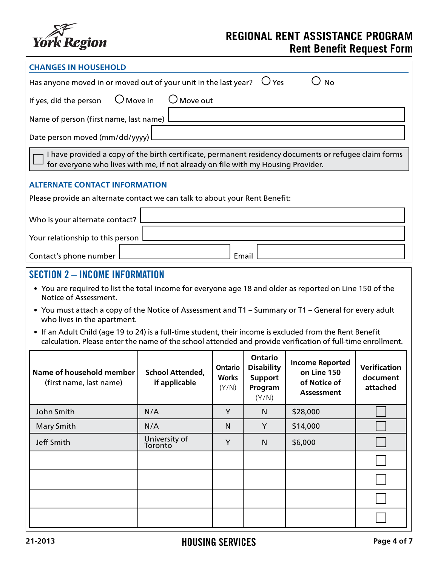

| <b>CHANGES IN HOUSEHOLD</b>                                                                                                                                                                                              |                                                                                                                                                                                           |                                  |                                                                           |                                                                            |                                             |
|--------------------------------------------------------------------------------------------------------------------------------------------------------------------------------------------------------------------------|-------------------------------------------------------------------------------------------------------------------------------------------------------------------------------------------|----------------------------------|---------------------------------------------------------------------------|----------------------------------------------------------------------------|---------------------------------------------|
| Has anyone moved in or moved out of your unit in the last year?                                                                                                                                                          |                                                                                                                                                                                           |                                  | $\bigcup$ Yes                                                             | <b>No</b>                                                                  |                                             |
| $\bigcup$ Move in<br>$\bigcup$ Move out<br>If yes, did the person                                                                                                                                                        |                                                                                                                                                                                           |                                  |                                                                           |                                                                            |                                             |
| Name of person (first name, last name)                                                                                                                                                                                   |                                                                                                                                                                                           |                                  |                                                                           |                                                                            |                                             |
| Date person moved (mm/dd/yyyy)                                                                                                                                                                                           |                                                                                                                                                                                           |                                  |                                                                           |                                                                            |                                             |
|                                                                                                                                                                                                                          | I have provided a copy of the birth certificate, permanent residency documents or refugee claim forms<br>for everyone who lives with me, if not already on file with my Housing Provider. |                                  |                                                                           |                                                                            |                                             |
| <b>ALTERNATE CONTACT INFORMATION</b>                                                                                                                                                                                     |                                                                                                                                                                                           |                                  |                                                                           |                                                                            |                                             |
| Please provide an alternate contact we can talk to about your Rent Benefit:                                                                                                                                              |                                                                                                                                                                                           |                                  |                                                                           |                                                                            |                                             |
| Who is your alternate contact?                                                                                                                                                                                           |                                                                                                                                                                                           |                                  |                                                                           |                                                                            |                                             |
| Your relationship to this person                                                                                                                                                                                         |                                                                                                                                                                                           |                                  |                                                                           |                                                                            |                                             |
| Contact's phone number                                                                                                                                                                                                   |                                                                                                                                                                                           | Email                            |                                                                           |                                                                            |                                             |
| <b>SECTION 2 - INCOME INFORMATION</b>                                                                                                                                                                                    |                                                                                                                                                                                           |                                  |                                                                           |                                                                            |                                             |
| • You are required to list the total income for everyone age 18 and older as reported on Line 150 of the                                                                                                                 |                                                                                                                                                                                           |                                  |                                                                           |                                                                            |                                             |
| Notice of Assessment.                                                                                                                                                                                                    |                                                                                                                                                                                           |                                  |                                                                           |                                                                            |                                             |
| • You must attach a copy of the Notice of Assessment and T1 - Summary or T1 - General for every adult<br>who lives in the apartment.                                                                                     |                                                                                                                                                                                           |                                  |                                                                           |                                                                            |                                             |
| • If an Adult Child (age 19 to 24) is a full-time student, their income is excluded from the Rent Benefit<br>calculation. Please enter the name of the school attended and provide verification of full-time enrollment. |                                                                                                                                                                                           |                                  |                                                                           |                                                                            |                                             |
| Name of household member<br>(first name, last name)                                                                                                                                                                      | <b>School Attended,</b><br>if applicable                                                                                                                                                  | Ontario<br><b>Works</b><br>(Y/N) | <b>Ontario</b><br><b>Disability</b><br><b>Support</b><br>Program<br>(Y/N) | <b>Income Reported</b><br>on Line 150<br>of Notice of<br><b>Assessment</b> | <b>Verification</b><br>document<br>attached |
| John Smith                                                                                                                                                                                                               | N/A                                                                                                                                                                                       | Y                                | N                                                                         | \$28,000                                                                   |                                             |
| <b>Mary Smith</b>                                                                                                                                                                                                        | N/A                                                                                                                                                                                       | N                                | Y                                                                         | \$14,000                                                                   |                                             |
| Jeff Smith                                                                                                                                                                                                               | University of<br>Toronto                                                                                                                                                                  | Y                                | $\mathsf{N}$                                                              | \$6,000                                                                    |                                             |
|                                                                                                                                                                                                                          |                                                                                                                                                                                           |                                  |                                                                           |                                                                            |                                             |
|                                                                                                                                                                                                                          |                                                                                                                                                                                           |                                  |                                                                           |                                                                            |                                             |
|                                                                                                                                                                                                                          |                                                                                                                                                                                           |                                  |                                                                           |                                                                            |                                             |
|                                                                                                                                                                                                                          |                                                                                                                                                                                           |                                  |                                                                           |                                                                            |                                             |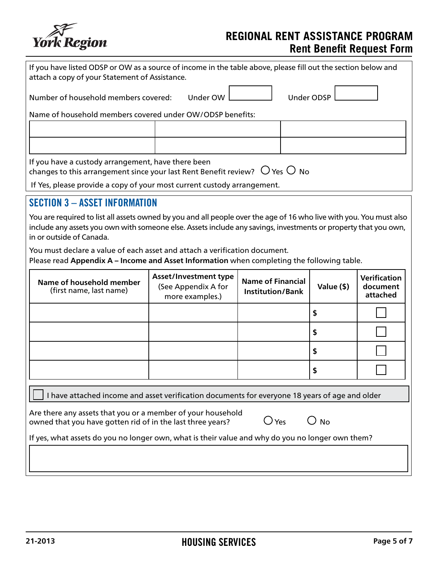

| If you have listed ODSP or OW as a source of income in the table above, please fill out the section below and<br>attach a copy of your Statement of Assistance.                                                                                                    |                                                                                                                                                      |                                                     |  |            |                                             |
|--------------------------------------------------------------------------------------------------------------------------------------------------------------------------------------------------------------------------------------------------------------------|------------------------------------------------------------------------------------------------------------------------------------------------------|-----------------------------------------------------|--|------------|---------------------------------------------|
| Under ODSP<br>Under OW<br>Number of household members covered:                                                                                                                                                                                                     |                                                                                                                                                      |                                                     |  |            |                                             |
| Name of household members covered under OW/ODSP benefits:                                                                                                                                                                                                          |                                                                                                                                                      |                                                     |  |            |                                             |
|                                                                                                                                                                                                                                                                    |                                                                                                                                                      |                                                     |  |            |                                             |
|                                                                                                                                                                                                                                                                    |                                                                                                                                                      |                                                     |  |            |                                             |
|                                                                                                                                                                                                                                                                    | If you have a custody arrangement, have there been<br>changes to this arrangement since your last Rent Benefit review? $~\bigcirc$ Yes $\bigcirc$ No |                                                     |  |            |                                             |
| If Yes, please provide a copy of your most current custody arrangement.                                                                                                                                                                                            |                                                                                                                                                      |                                                     |  |            |                                             |
| <b>SECTION 3 - ASSET INFORMATION</b>                                                                                                                                                                                                                               |                                                                                                                                                      |                                                     |  |            |                                             |
| You are required to list all assets owned by you and all people over the age of 16 who live with you. You must also<br>include any assets you own with someone else. Assets include any savings, investments or property that you own,<br>in or outside of Canada. |                                                                                                                                                      |                                                     |  |            |                                             |
| You must declare a value of each asset and attach a verification document.<br>Please read Appendix A - Income and Asset Information when completing the following table.                                                                                           |                                                                                                                                                      |                                                     |  |            |                                             |
| Name of household member<br>(first name, last name)                                                                                                                                                                                                                | <b>Asset/Investment type</b><br>(See Appendix A for<br>more examples.)                                                                               | <b>Name of Financial</b><br><b>Institution/Bank</b> |  | Value (\$) | <b>Verification</b><br>document<br>attached |
|                                                                                                                                                                                                                                                                    |                                                                                                                                                      |                                                     |  | \$         |                                             |
|                                                                                                                                                                                                                                                                    |                                                                                                                                                      |                                                     |  | \$         |                                             |
|                                                                                                                                                                                                                                                                    |                                                                                                                                                      |                                                     |  | \$         |                                             |
|                                                                                                                                                                                                                                                                    |                                                                                                                                                      |                                                     |  | \$         |                                             |
| I have attached income and asset verification documents for everyone 18 years of age and older                                                                                                                                                                     |                                                                                                                                                      |                                                     |  |            |                                             |
| Are there any assets that you or a member of your household<br>$\bigcirc$ Yes<br>O no<br>owned that you have gotten rid of in the last three years?                                                                                                                |                                                                                                                                                      |                                                     |  |            |                                             |
| If yes, what assets do you no longer own, what is their value and why do you no longer own them?                                                                                                                                                                   |                                                                                                                                                      |                                                     |  |            |                                             |
|                                                                                                                                                                                                                                                                    |                                                                                                                                                      |                                                     |  |            |                                             |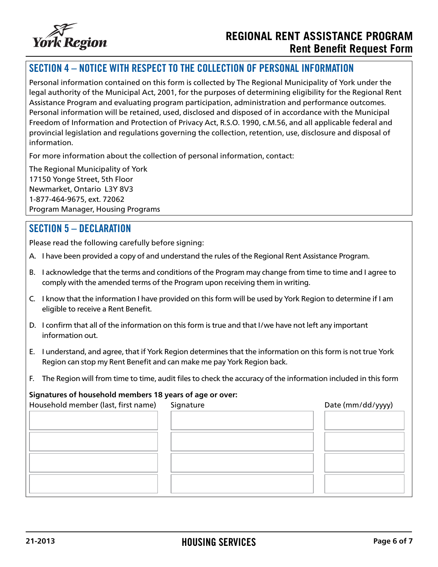

## SECTION 4 – NOTICE WITH RESPECT TO THE COLLECTION OF PERSONAL INFORMATION

Personal information contained on this form is collected by The Regional Municipality of York under the legal authority of the Municipal Act, 2001, for the purposes of determining eligibility for the Regional Rent Assistance Program and evaluating program participation, administration and performance outcomes. Personal information will be retained, used, disclosed and disposed of in accordance with the Municipal Freedom of Information and Protection of Privacy Act, R.S.O. 1990, c.M.56, and all applicable federal and provincial legislation and regulations governing the collection, retention, use, disclosure and disposal of information.

For more information about the collection of personal information, contact:

The Regional Municipality of York 17150 Yonge Street, 5th Floor Newmarket, Ontario L3Y 8V3 1-877-464-9675, ext. 72062 Program Manager, Housing Programs

## SECTION 5 – DECLARATION

Please read the following carefully before signing:

- A. I have been provided a copy of and understand the rules of the Regional Rent Assistance Program.
- B. I acknowledge that the terms and conditions of the Program may change from time to time and I agree to comply with the amended terms of the Program upon receiving them in writing.
- C. I know that the information I have provided on this form will be used by York Region to determine if I am eligible to receive a Rent Benefit.
- D. I confirm that all of the information on this form is true and that I/we have not left any important information out.
- E. I understand, and agree, that if York Region determines that the information on this form is not true York Region can stop my Rent Benefit and can make me pay York Region back.
- F. The Region will from time to time, audit files to check the accuracy of the information included in this form

### **Signatures of household members 18 years of age or over:**

| Household member (last, first name) | Signature | Date (mm/dd/yyyy) |
|-------------------------------------|-----------|-------------------|
|                                     |           |                   |
|                                     |           |                   |
|                                     |           |                   |
|                                     |           |                   |
|                                     |           |                   |
|                                     |           |                   |
|                                     |           |                   |